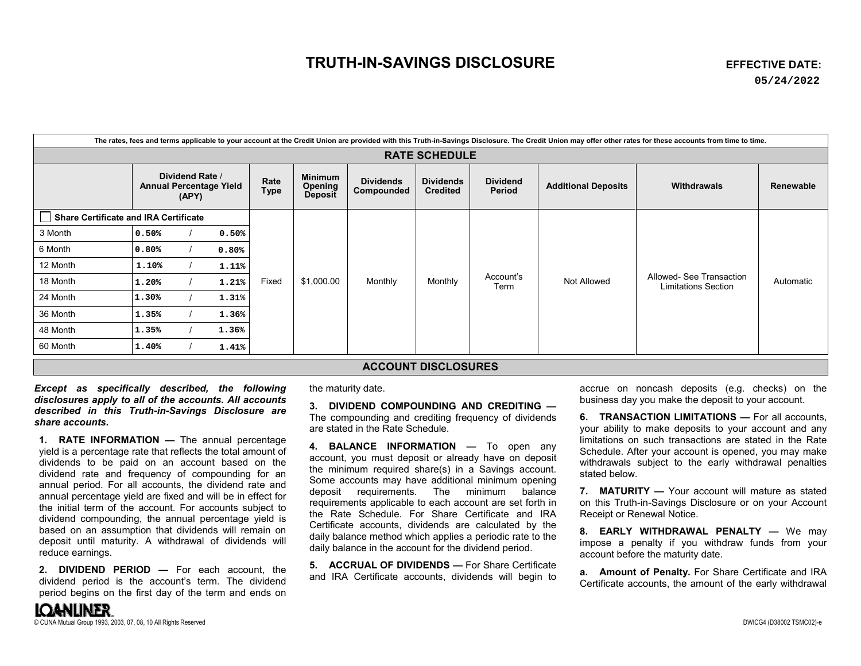## **TRUTH-IN-SAVINGS DISCLOSURE EFFECTIVE DATE:**

| The rates, fees and terms applicable to your account at the Credit Union are provided with this Truth-in-Savings Disclosure. The Credit Union may offer other rates for these accounts from time to time. |                                                            |  |       |                     |                                      |                                |                                     |                           |                            |                                                        |           |
|-----------------------------------------------------------------------------------------------------------------------------------------------------------------------------------------------------------|------------------------------------------------------------|--|-------|---------------------|--------------------------------------|--------------------------------|-------------------------------------|---------------------------|----------------------------|--------------------------------------------------------|-----------|
| <b>RATE SCHEDULE</b>                                                                                                                                                                                      |                                                            |  |       |                     |                                      |                                |                                     |                           |                            |                                                        |           |
|                                                                                                                                                                                                           | Dividend Rate /<br><b>Annual Percentage Yield</b><br>(APY) |  |       | Rate<br><b>Type</b> | Minimum<br>Opening<br><b>Deposit</b> | <b>Dividends</b><br>Compounded | <b>Dividends</b><br><b>Credited</b> | <b>Dividend</b><br>Period | <b>Additional Deposits</b> | Withdrawals                                            | Renewable |
| Share Certificate and IRA Certificate                                                                                                                                                                     |                                                            |  |       |                     |                                      |                                |                                     |                           |                            |                                                        |           |
| 3 Month                                                                                                                                                                                                   | 0.50%                                                      |  | 0.50% | Fixed               | \$1,000.00                           | Monthly                        | Monthly                             | Account's<br>Term         | Not Allowed                | Allowed- See Transaction<br><b>Limitations Section</b> | Automatic |
| 6 Month                                                                                                                                                                                                   | 0.80%                                                      |  | 0.80% |                     |                                      |                                |                                     |                           |                            |                                                        |           |
| 12 Month                                                                                                                                                                                                  | 1.10%                                                      |  | 1.11% |                     |                                      |                                |                                     |                           |                            |                                                        |           |
| 18 Month                                                                                                                                                                                                  | 1.20%                                                      |  | 1.21% |                     |                                      |                                |                                     |                           |                            |                                                        |           |
| 24 Month                                                                                                                                                                                                  | 1.30%                                                      |  | 1.31% |                     |                                      |                                |                                     |                           |                            |                                                        |           |
| 36 Month                                                                                                                                                                                                  | 1.35%                                                      |  | 1.36% |                     |                                      |                                |                                     |                           |                            |                                                        |           |
| 48 Month                                                                                                                                                                                                  | 1.35%                                                      |  | 1.36% |                     |                                      |                                |                                     |                           |                            |                                                        |           |
| 60 Month                                                                                                                                                                                                  | 1.40%                                                      |  | 1.41% |                     |                                      |                                |                                     |                           |                            |                                                        |           |
| <b>ACCOUNT DISCLOSURES</b>                                                                                                                                                                                |                                                            |  |       |                     |                                      |                                |                                     |                           |                            |                                                        |           |

*Except as specifically described, the following disclosures apply to all of the accounts. All accounts described in this Truth-in-Savings Disclosure are share accounts.*

**1. RATE INFORMATION —** The annual percentage yield is a percentage rate that reflects the total amount of dividends to be paid on an account based on the dividend rate and frequency of compounding for an annual period. For all accounts, the dividend rate and annual percentage yield are fixed and will be in effect for the initial term of the account. For accounts subject to dividend compounding, the annual percentage yield is based on an assumption that dividends will remain on deposit until maturity. A withdrawal of dividends will reduce earnings.

**2. DIVIDEND PERIOD —** For each account, the dividend period is the account's term. The dividend period begins on the first day of the term and ends on the maturity date.

**3. DIVIDEND COMPOUNDING AND CREDITING —** The compounding and crediting frequency of dividends are stated in the Rate Schedule.

**4. BALANCE INFORMATION —** To open any account, you must deposit or already have on deposit the minimum required share(s) in a Savings account. Some accounts may have additional minimum opening deposit requirements. The minimum balance requirements applicable to each account are set forth in the Rate Schedule. For Share Certificate and IRA Certificate accounts, dividends are calculated by the daily balance method which applies a periodic rate to the daily balance in the account for the dividend period.

**5. ACCRUAL OF DIVIDENDS —** For Share Certificate and IRA Certificate accounts, dividends will begin to accrue on noncash deposits (e.g. checks) on the business day you make the deposit to your account.

**6. TRANSACTION LIMITATIONS —** For all accounts, your ability to make deposits to your account and any limitations on such transactions are stated in the Rate Schedule. After your account is opened, you may make withdrawals subject to the early withdrawal penalties stated below.

**7. MATURITY —** Your account will mature as stated on this Truth-in-Savings Disclosure or on your Account Receipt or Renewal Notice.

**8. EARLY WITHDRAWAL PENALTY —** We may impose a penalty if you withdraw funds from your account before the maturity date.

**a. Amount of Penalty.** For Share Certificate and IRA Certificate accounts, the amount of the early withdrawal